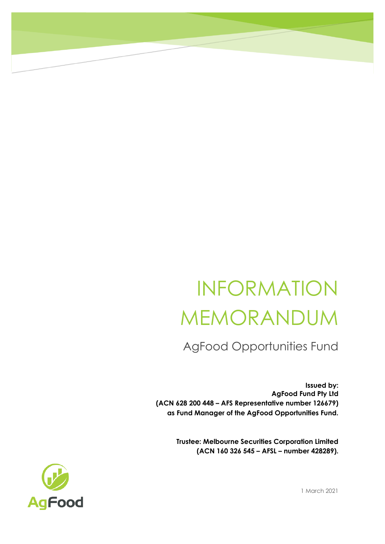## INFORMATION MEMORANDUM

AgFood Opportunities Fund

**Issued by: AgFood Fund Pty Ltd (ACN 628 200 448 – AFS Representative number 126679) as Fund Manager of the AgFood Opportunities Fund.**

> **Trustee: Melbourne Securities Corporation Limited (ACN 160 326 545 – AFSL – number 428289).**



1 March 2021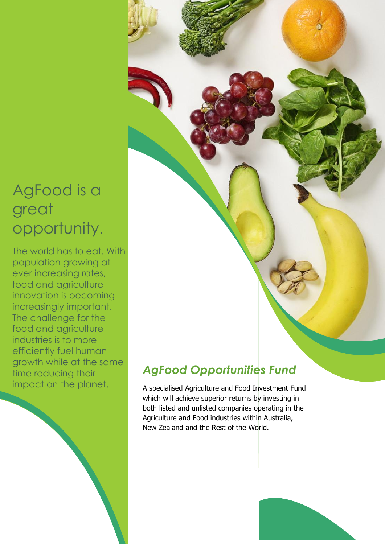### AgFood is a great opportunity.

The world has to eat. With population growing at ever increasing rates, food and agriculture innovation is becoming increasingly important. The challenge for the food and agriculture industries is to more efficiently fuel human growth while at the same time reducing their impact on the planet.

### *AgFood Opportunities Fund*

A specialised Agriculture and Food Investment Fund which will achieve superior returns by investing in both listed and unlisted companies operating in the Agriculture and Food industries within Australia, New Zealand and the Rest of the World.

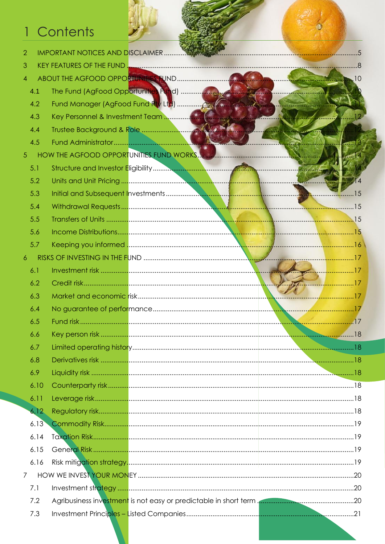### 1 Contents

| $\overline{2}$ |      |                                      |  |    |       |
|----------------|------|--------------------------------------|--|----|-------|
| 3              |      |                                      |  |    |       |
| $\overline{4}$ |      |                                      |  |    | . I O |
|                | 4.1  | The Fund (AgFood Opportunities Fund) |  |    |       |
|                | 4.2  |                                      |  |    |       |
|                | 4.3  |                                      |  |    |       |
|                | 4.4  |                                      |  |    |       |
|                | 4.5  |                                      |  |    |       |
| 5              |      |                                      |  |    |       |
|                | 5.1  |                                      |  |    |       |
|                | 5.2  |                                      |  |    |       |
|                | 5.3  |                                      |  |    |       |
|                | 5.4  |                                      |  |    |       |
|                | 5.5  |                                      |  |    |       |
|                | 5.6  |                                      |  |    |       |
|                | 5.7  |                                      |  |    |       |
| 6              |      |                                      |  |    |       |
|                | 6.1  |                                      |  | 17 |       |
|                | 6.2  |                                      |  |    |       |
|                | 6.3  |                                      |  |    |       |
|                | 6.4  |                                      |  |    |       |
|                | 6.5  |                                      |  |    |       |
|                | 6.6  |                                      |  |    |       |
|                | 6.7  |                                      |  |    |       |
|                | 6.8  |                                      |  |    |       |
|                | 6.9  |                                      |  |    |       |
|                | 6.10 |                                      |  |    |       |
|                | 6.11 |                                      |  |    |       |
|                | 6.12 |                                      |  |    |       |
|                | 6.13 |                                      |  |    |       |
|                | 6.14 |                                      |  |    |       |
|                | 6.15 |                                      |  |    |       |
|                | 6.16 |                                      |  |    |       |
| $\overline{7}$ |      |                                      |  |    |       |
|                | 7.1  |                                      |  |    |       |
|                | 7.2  |                                      |  |    |       |
|                | 7.3  |                                      |  |    |       |
|                |      |                                      |  |    |       |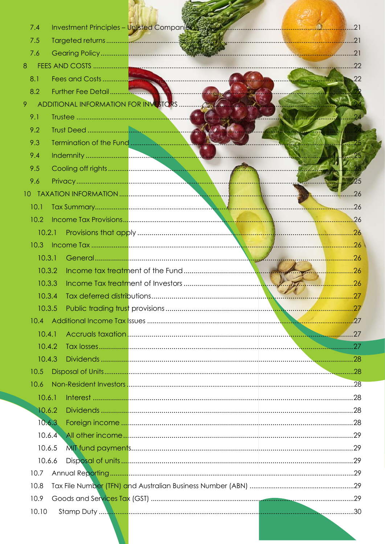| 7.4    |                         | Investment Principles - Unlisted Companies |                         |
|--------|-------------------------|--------------------------------------------|-------------------------|
| 7.5    |                         |                                            |                         |
| 7.6    |                         |                                            |                         |
| 8      |                         |                                            |                         |
| 8.1    |                         |                                            | 22                      |
| 8.2    |                         |                                            | <b>Communication</b>    |
| 9      |                         |                                            |                         |
| 9.1    |                         |                                            | <b>Contact Comments</b> |
| 9.2    |                         |                                            |                         |
| 9.3    | Termination of the Fund |                                            |                         |
| 9.4    |                         |                                            |                         |
| 9.5    |                         |                                            |                         |
| 9.6    |                         |                                            | $\ldots$ .25            |
|        |                         |                                            |                         |
| 10.1   |                         |                                            |                         |
| 10.2   |                         |                                            |                         |
| 10.2.1 |                         |                                            |                         |
|        |                         |                                            |                         |
|        |                         |                                            |                         |
|        | 10.3.2                  |                                            |                         |
|        | 10.3.3                  |                                            | 26                      |
|        | 10.3.4                  |                                            | .27                     |
|        | 10.3.5                  |                                            |                         |
|        |                         |                                            |                         |
| 10.4.1 |                         |                                            |                         |
|        | 10.4.2                  |                                            |                         |
|        | 10.4.3                  |                                            |                         |
| 10.5   |                         |                                            |                         |
| 10.6   |                         |                                            |                         |
| 10.6.1 |                         |                                            |                         |
|        | 10.6.2                  |                                            |                         |
|        | 10.6.3                  |                                            |                         |
|        | 10.6.4                  |                                            |                         |
|        | 10.6.5                  |                                            |                         |
|        | 10.6.6                  |                                            |                         |
| 10.7   |                         |                                            |                         |
| 10.8   |                         |                                            |                         |
| 10.9   |                         |                                            |                         |
| 10.10  |                         |                                            |                         |
|        |                         |                                            |                         |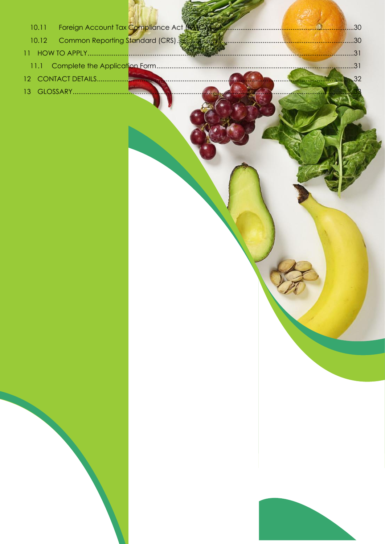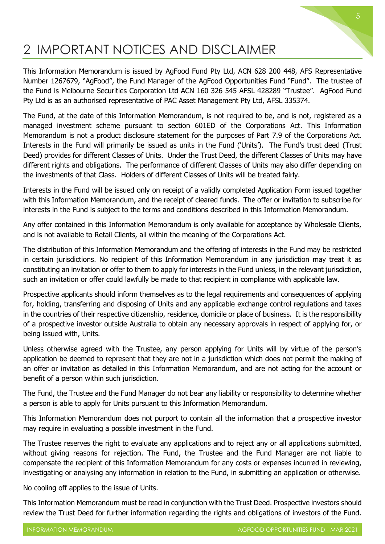### <span id="page-5-0"></span>2 IMPORTANT NOTICES AND DISCLAIMER

This Information Memorandum is issued by AgFood Fund Pty Ltd, ACN 628 200 448, AFS Representative Number 1267679, "AgFood", the Fund Manager of the AgFood Opportunities Fund "Fund". The trustee of the Fund is Melbourne Securities Corporation Ltd ACN 160 326 545 AFSL 428289 "Trustee". AgFood Fund Pty Ltd is as an authorised representative of PAC Asset Management Pty Ltd, AFSL 335374.

The Fund, at the date of this Information Memorandum, is not required to be, and is not, registered as a managed investment scheme pursuant to section 601ED of the Corporations Act. This Information Memorandum is not a product disclosure statement for the purposes of Part 7.9 of the Corporations Act. Interests in the Fund will primarily be issued as units in the Fund ('Units'). The Fund's trust deed (Trust Deed) provides for different Classes of Units. Under the Trust Deed, the different Classes of Units may have different rights and obligations. The performance of different Classes of Units may also differ depending on the investments of that Class. Holders of different Classes of Units will be treated fairly.

Interests in the Fund will be issued only on receipt of a validly completed Application Form issued together with this Information Memorandum, and the receipt of cleared funds. The offer or invitation to subscribe for interests in the Fund is subject to the terms and conditions described in this Information Memorandum.

Any offer contained in this Information Memorandum is only available for acceptance by Wholesale Clients, and is not available to Retail Clients, all within the meaning of the Corporations Act.

The distribution of this Information Memorandum and the offering of interests in the Fund may be restricted in certain jurisdictions. No recipient of this Information Memorandum in any jurisdiction may treat it as constituting an invitation or offer to them to apply for interests in the Fund unless, in the relevant jurisdiction, such an invitation or offer could lawfully be made to that recipient in compliance with applicable law.

Prospective applicants should inform themselves as to the legal requirements and consequences of applying for, holding, transferring and disposing of Units and any applicable exchange control regulations and taxes in the countries of their respective citizenship, residence, domicile or place of business. It is the responsibility of a prospective investor outside Australia to obtain any necessary approvals in respect of applying for, or being issued with, Units.

Unless otherwise agreed with the Trustee, any person applying for Units will by virtue of the person's application be deemed to represent that they are not in a jurisdiction which does not permit the making of an offer or invitation as detailed in this Information Memorandum, and are not acting for the account or benefit of a person within such jurisdiction.

The Fund, the Trustee and the Fund Manager do not bear any liability or responsibility to determine whether a person is able to apply for Units pursuant to this Information Memorandum.

This Information Memorandum does not purport to contain all the information that a prospective investor may require in evaluating a possible investment in the Fund.

The Trustee reserves the right to evaluate any applications and to reject any or all applications submitted, without giving reasons for rejection. The Fund, the Trustee and the Fund Manager are not liable to compensate the recipient of this Information Memorandum for any costs or expenses incurred in reviewing, investigating or analysing any information in relation to the Fund, in submitting an application or otherwise.

No cooling off applies to the issue of Units.

This Information Memorandum must be read in conjunction with the Trust Deed. Prospective investors should review the Trust Deed for further information regarding the rights and obligations of investors of the Fund.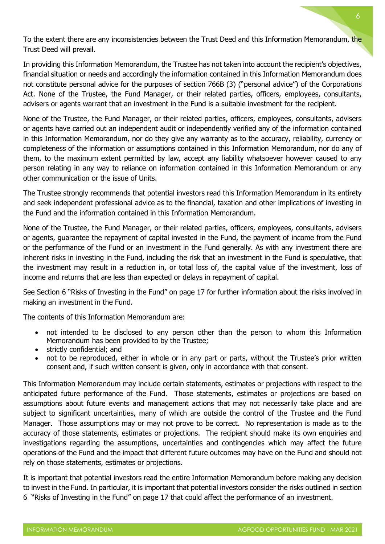To the extent there are any inconsistencies between the Trust Deed and this Information Memorandum, the Trust Deed will prevail.

In providing this Information Memorandum, the Trustee has not taken into account the recipient's objectives, financial situation or needs and accordingly the information contained in this Information Memorandum does not constitute personal advice for the purposes of section 766B (3) ("personal advice") of the Corporations Act. None of the Trustee, the Fund Manager, or their related parties, officers, employees, consultants, advisers or agents warrant that an investment in the Fund is a suitable investment for the recipient.

None of the Trustee, the Fund Manager, or their related parties, officers, employees, consultants, advisers or agents have carried out an independent audit or independently verified any of the information contained in this Information Memorandum, nor do they give any warranty as to the accuracy, reliability, currency or completeness of the information or assumptions contained in this Information Memorandum, nor do any of them, to the maximum extent permitted by law, accept any liability whatsoever however caused to any person relating in any way to reliance on information contained in this Information Memorandum or any other communication or the issue of Units.

The Trustee strongly recommends that potential investors read this Information Memorandum in its entirety and seek independent professional advice as to the financial, taxation and other implications of investing in the Fund and the information contained in this Information Memorandum.

None of the Trustee, the Fund Manager, or their related parties, officers, employees, consultants, advisers or agents, guarantee the repayment of capital invested in the Fund, the payment of income from the Fund or the performance of the Fund or an investment in the Fund generally. As with any investment there are inherent risks in investing in the Fund, including the risk that an investment in the Fund is speculative, that the investment may result in a reduction in, or total loss of, the capital value of the investment, loss of income and returns that are less than expected or delays in repayment of capital.

See Section 6 "Risks of Investing in the Fund" on page 17 for further information about the risks involved in making an investment in the Fund.

The contents of this Information Memorandum are:

- not intended to be disclosed to any person other than the person to whom this Information Memorandum has been provided to by the Trustee;
- strictly confidential; and
- not to be reproduced, either in whole or in any part or parts, without the Trustee's prior written consent and, if such written consent is given, only in accordance with that consent.

This Information Memorandum may include certain statements, estimates or projections with respect to the anticipated future performance of the Fund. Those statements, estimates or projections are based on assumptions about future events and management actions that may not necessarily take place and are subject to significant uncertainties, many of which are outside the control of the Trustee and the Fund Manager. Those assumptions may or may not prove to be correct. No representation is made as to the accuracy of those statements, estimates or projections. The recipient should make its own enquiries and investigations regarding the assumptions, uncertainties and contingencies which may affect the future operations of the Fund and the impact that different future outcomes may have on the Fund and should not rely on those statements, estimates or projections.

It is important that potential investors read the entire Information Memorandum before making any decision to invest in the Fund. In particular, it is important that potential investors consider the risks outlined in section 6 "Risks of Investing in the Fund" on page 17 that could affect the performance of an investment.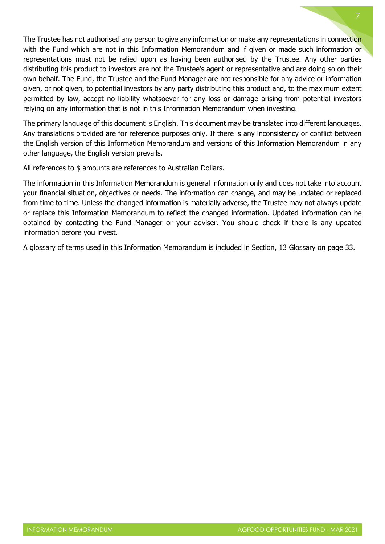The Trustee has not authorised any person to give any information or make any representations in connection with the Fund which are not in this Information Memorandum and if given or made such information or representations must not be relied upon as having been authorised by the Trustee. Any other parties distributing this product to investors are not the Trustee's agent or representative and are doing so on their own behalf. The Fund, the Trustee and the Fund Manager are not responsible for any advice or information given, or not given, to potential investors by any party distributing this product and, to the maximum extent permitted by law, accept no liability whatsoever for any loss or damage arising from potential investors relying on any information that is not in this Information Memorandum when investing.

The primary language of this document is English. This document may be translated into different languages. Any translations provided are for reference purposes only. If there is any inconsistency or conflict between the English version of this Information Memorandum and versions of this Information Memorandum in any other language, the English version prevails.

All references to \$ amounts are references to Australian Dollars.

The information in this Information Memorandum is general information only and does not take into account your financial situation, objectives or needs. The information can change, and may be updated or replaced from time to time. Unless the changed information is materially adverse, the Trustee may not always update or replace this Information Memorandum to reflect the changed information. Updated information can be obtained by contacting the Fund Manager or your adviser. You should check if there is any updated information before you invest.

A glossary of terms used in this Information Memorandum is included in Section, 13 Glossary on page 33.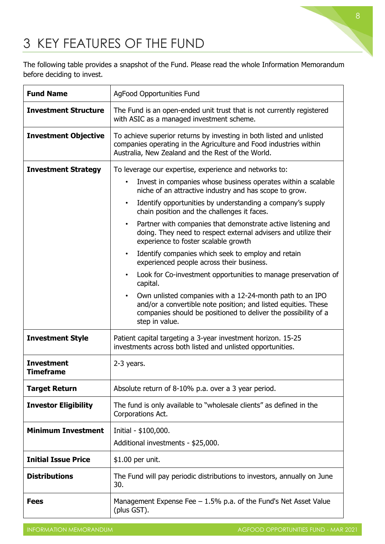

### <span id="page-8-0"></span>3 KEY FEATURES OF THE FUND

The following table provides a snapshot of the Fund. Please read the whole Information Memorandum before deciding to invest.

| <b>Fund Name</b>                      | AgFood Opportunities Fund                                                                                                                                                                                                   |  |  |
|---------------------------------------|-----------------------------------------------------------------------------------------------------------------------------------------------------------------------------------------------------------------------------|--|--|
| <b>Investment Structure</b>           | The Fund is an open-ended unit trust that is not currently registered<br>with ASIC as a managed investment scheme.                                                                                                          |  |  |
| <b>Investment Objective</b>           | To achieve superior returns by investing in both listed and unlisted<br>companies operating in the Agriculture and Food industries within<br>Australia, New Zealand and the Rest of the World.                              |  |  |
| <b>Investment Strategy</b>            | To leverage our expertise, experience and networks to:                                                                                                                                                                      |  |  |
|                                       | Invest in companies whose business operates within a scalable<br>$\bullet$<br>niche of an attractive industry and has scope to grow.                                                                                        |  |  |
|                                       | Identify opportunities by understanding a company's supply<br>$\bullet$<br>chain position and the challenges it faces.                                                                                                      |  |  |
|                                       | Partner with companies that demonstrate active listening and<br>$\bullet$<br>doing. They need to respect external advisers and utilize their<br>experience to foster scalable growth                                        |  |  |
|                                       | Identify companies which seek to employ and retain<br>$\bullet$<br>experienced people across their business.                                                                                                                |  |  |
|                                       | Look for Co-investment opportunities to manage preservation of<br>capital.                                                                                                                                                  |  |  |
|                                       | Own unlisted companies with a 12-24-month path to an IPO<br>$\bullet$<br>and/or a convertible note position; and listed equities. These<br>companies should be positioned to deliver the possibility of a<br>step in value. |  |  |
| <b>Investment Style</b>               | Patient capital targeting a 3-year investment horizon. 15-25<br>investments across both listed and unlisted opportunities.                                                                                                  |  |  |
| <b>Investment</b><br><b>Timeframe</b> | $2-3$ years.                                                                                                                                                                                                                |  |  |
| <b>Target Return</b>                  | Absolute return of 8-10% p.a. over a 3 year period.                                                                                                                                                                         |  |  |
| <b>Investor Eligibility</b>           | The fund is only available to "wholesale clients" as defined in the<br>Corporations Act.                                                                                                                                    |  |  |
| <b>Minimum Investment</b>             | Initial - \$100,000.                                                                                                                                                                                                        |  |  |
|                                       | Additional investments - \$25,000.                                                                                                                                                                                          |  |  |
| <b>Initial Issue Price</b>            | \$1.00 per unit.                                                                                                                                                                                                            |  |  |
| <b>Distributions</b>                  | The Fund will pay periodic distributions to investors, annually on June<br>30.                                                                                                                                              |  |  |
| <b>Fees</b>                           | Management Expense Fee $-1.5\%$ p.a. of the Fund's Net Asset Value<br>(plus GST).                                                                                                                                           |  |  |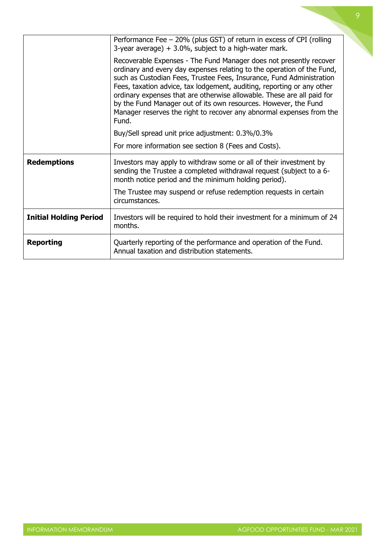|                               | Performance Fee - 20% (plus GST) of return in excess of CPI (rolling<br>3-year average) $+3.0\%$ , subject to a high-water mark.                                                                                                                                                                                                                                                                                                                                                                                             |
|-------------------------------|------------------------------------------------------------------------------------------------------------------------------------------------------------------------------------------------------------------------------------------------------------------------------------------------------------------------------------------------------------------------------------------------------------------------------------------------------------------------------------------------------------------------------|
|                               | Recoverable Expenses - The Fund Manager does not presently recover<br>ordinary and every day expenses relating to the operation of the Fund,<br>such as Custodian Fees, Trustee Fees, Insurance, Fund Administration<br>Fees, taxation advice, tax lodgement, auditing, reporting or any other<br>ordinary expenses that are otherwise allowable. These are all paid for<br>by the Fund Manager out of its own resources. However, the Fund<br>Manager reserves the right to recover any abnormal expenses from the<br>Fund. |
|                               | Buy/Sell spread unit price adjustment: 0.3%/0.3%                                                                                                                                                                                                                                                                                                                                                                                                                                                                             |
|                               | For more information see section 8 (Fees and Costs).                                                                                                                                                                                                                                                                                                                                                                                                                                                                         |
| <b>Redemptions</b>            | Investors may apply to withdraw some or all of their investment by<br>sending the Trustee a completed withdrawal request (subject to a 6-<br>month notice period and the minimum holding period).                                                                                                                                                                                                                                                                                                                            |
|                               | The Trustee may suspend or refuse redemption requests in certain<br>circumstances.                                                                                                                                                                                                                                                                                                                                                                                                                                           |
| <b>Initial Holding Period</b> | Investors will be required to hold their investment for a minimum of 24<br>months.                                                                                                                                                                                                                                                                                                                                                                                                                                           |
| <b>Reporting</b>              | Quarterly reporting of the performance and operation of the Fund.<br>Annual taxation and distribution statements.                                                                                                                                                                                                                                                                                                                                                                                                            |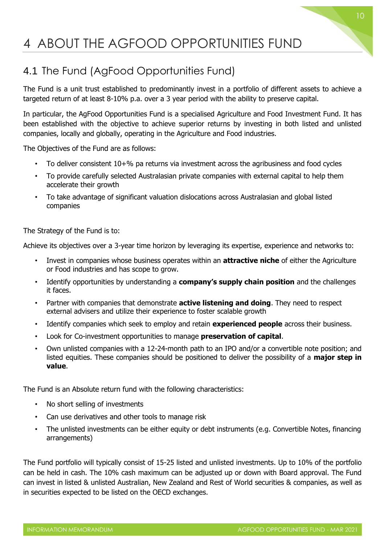### <span id="page-10-0"></span>4 ABOUT THE AGFOOD OPPORTUNITIES FUND

### <span id="page-10-1"></span>4.1 The Fund (AgFood Opportunities Fund)

The Fund is a unit trust established to predominantly invest in a portfolio of different assets to achieve a targeted return of at least 8-10% p.a. over a 3 year period with the ability to preserve capital.

In particular, the AgFood Opportunities Fund is a specialised Agriculture and Food Investment Fund. It has been established with the objective to achieve superior returns by investing in both listed and unlisted companies, locally and globally, operating in the Agriculture and Food industries.

The Objectives of the Fund are as follows:

- To deliver consistent 10+% pa returns via investment across the agribusiness and food cycles
- To provide carefully selected Australasian private companies with external capital to help them accelerate their growth
- To take advantage of significant valuation dislocations across Australasian and global listed companies

The Strategy of the Fund is to:

Achieve its objectives over a 3-year time horizon by leveraging its expertise, experience and networks to:

- Invest in companies whose business operates within an **attractive niche** of either the Agriculture or Food industries and has scope to grow.
- Identify opportunities by understanding a **company's supply chain position** and the challenges it faces.
- Partner with companies that demonstrate **active listening and doing**. They need to respect external advisers and utilize their experience to foster scalable growth
- Identify companies which seek to employ and retain **experienced people** across their business.
- Look for Co-investment opportunities to manage **preservation of capital**.
- Own unlisted companies with a 12-24-month path to an IPO and/or a convertible note position; and listed equities. These companies should be positioned to deliver the possibility of a **major step in value**.

The Fund is an Absolute return fund with the following characteristics:

- No short selling of investments
- Can use derivatives and other tools to manage risk
- The unlisted investments can be either equity or debt instruments (e.g. Convertible Notes, financing arrangements)

The Fund portfolio will typically consist of 15-25 listed and unlisted investments. Up to 10% of the portfolio can be held in cash. The 10% cash maximum can be adjusted up or down with Board approval. The Fund can invest in listed & unlisted Australian, New Zealand and Rest of World securities & companies, as well as in securities expected to be listed on the OECD exchanges.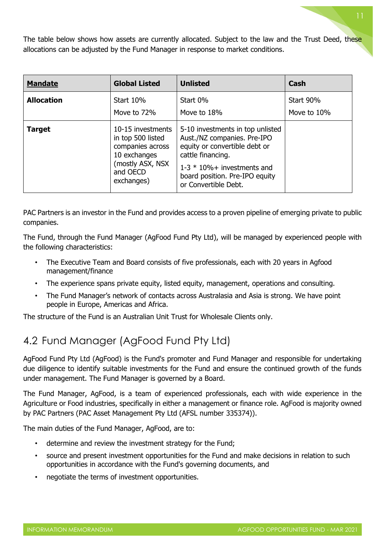The table below shows how assets are currently allocated. Subject to the law and the Trust Deed, these allocations can be adjusted by the Fund Manager in response to market conditions.

| <b>Mandate</b>    | <b>Global Listed</b>                                                                                                     | <b>Unlisted</b>                                                                                                                                                                                                   | Cash                     |
|-------------------|--------------------------------------------------------------------------------------------------------------------------|-------------------------------------------------------------------------------------------------------------------------------------------------------------------------------------------------------------------|--------------------------|
| <b>Allocation</b> | <b>Start 10%</b><br>Move to 72%                                                                                          | Start 0%<br>Move to 18%                                                                                                                                                                                           | Start 90%<br>Move to 10% |
| <b>Target</b>     | 10-15 investments<br>in top 500 listed<br>companies across<br>10 exchanges<br>(mostly ASX, NSX<br>and OECD<br>exchanges) | 5-10 investments in top unlisted<br>Aust./NZ companies. Pre-IPO<br>equity or convertible debt or<br>cattle financing.<br>$1-3 * 10\% +$ investments and<br>board position. Pre-IPO equity<br>or Convertible Debt. |                          |

PAC Partners is an investor in the Fund and provides access to a proven pipeline of emerging private to public companies.

The Fund, through the Fund Manager (AgFood Fund Pty Ltd), will be managed by experienced people with the following characteristics:

- The Executive Team and Board consists of five professionals, each with 20 years in Agfood management/finance
- The experience spans private equity, listed equity, management, operations and consulting.
- The Fund Manager's network of contacts across Australasia and Asia is strong. We have point people in Europe, Americas and Africa.

The structure of the Fund is an Australian Unit Trust for Wholesale Clients only.

### <span id="page-11-0"></span>4.2 Fund Manager (AgFood Fund Pty Ltd)

AgFood Fund Pty Ltd (AgFood) is the Fund's promoter and Fund Manager and responsible for undertaking due diligence to identify suitable investments for the Fund and ensure the continued growth of the funds under management. The Fund Manager is governed by a Board.

The Fund Manager, AgFood, is a team of experienced professionals, each with wide experience in the Agriculture or Food industries, specifically in either a management or finance role. AgFood is majority owned by PAC Partners (PAC Asset Management Pty Ltd (AFSL number 335374)).

The main duties of the Fund Manager, AgFood, are to:

- determine and review the investment strategy for the Fund;
- source and present investment opportunities for the Fund and make decisions in relation to such opportunities in accordance with the Fund's governing documents, and
- negotiate the terms of investment opportunities.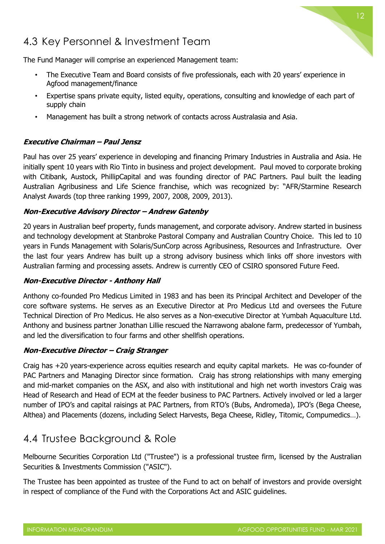

### <span id="page-12-0"></span>4.3 Key Personnel & Investment Team

The Fund Manager will comprise an experienced Management team:

- The Executive Team and Board consists of five professionals, each with 20 years' experience in Agfood management/finance
- Expertise spans private equity, listed equity, operations, consulting and knowledge of each part of supply chain
- Management has built a strong network of contacts across Australasia and Asia.

#### **Executive Chairman – Paul Jensz**

Paul has over 25 years' experience in developing and financing Primary Industries in Australia and Asia. He initially spent 10 years with Rio Tinto in business and project development. Paul moved to corporate broking with Citibank, Austock, PhillipCapital and was founding director of PAC Partners. Paul built the leading Australian Agribusiness and Life Science franchise, which was recognized by: "AFR/Starmine Research Analyst Awards (top three ranking 1999, 2007, 2008, 2009, 2013).

#### **Non-Executive Advisory Director – Andrew Gatenby**

20 years in Australian beef property, funds management, and corporate advisory. Andrew started in business and technology development at Stanbroke Pastoral Company and Australian Country Choice. This led to 10 years in Funds Management with Solaris/SunCorp across Agribusiness, Resources and Infrastructure. Over the last four years Andrew has built up a strong advisory business which links off shore investors with Australian farming and processing assets. Andrew is currently CEO of CSIRO sponsored Future Feed.

#### **Non-Executive Director - Anthony Hall**

Anthony co-founded Pro Medicus Limited in 1983 and has been its Principal Architect and Developer of the core software systems. He serves as an Executive Director at Pro Medicus Ltd and oversees the Future Technical Direction of Pro Medicus. He also serves as a Non-executive Director at Yumbah Aquaculture Ltd. Anthony and business partner Jonathan Lillie rescued the Narrawong abalone farm, predecessor of Yumbah, and led the diversification to four farms and other shellfish operations.

#### **Non-Executive Director – Craig Stranger**

Craig has +20 years-experience across equities research and equity capital markets. He was co-founder of PAC Partners and Managing Director since formation. Craig has strong relationships with many emerging and mid-market companies on the ASX, and also with institutional and high net worth investors Craig was Head of Research and Head of ECM at the feeder business to PAC Partners. Actively involved or led a larger number of IPO's and capital raisings at PAC Partners, from RTO's (Bubs, Andromeda), IPO's (Bega Cheese, Althea) and Placements (dozens, including Select Harvests, Bega Cheese, Ridley, Titomic, Compumedics…).

### <span id="page-12-1"></span>4.4 Trustee Background & Role

Melbourne Securities Corporation Ltd ("Trustee") is a professional trustee firm, licensed by the Australian Securities & Investments Commission ("ASIC").

The Trustee has been appointed as trustee of the Fund to act on behalf of investors and provide oversight in respect of compliance of the Fund with the Corporations Act and ASIC guidelines.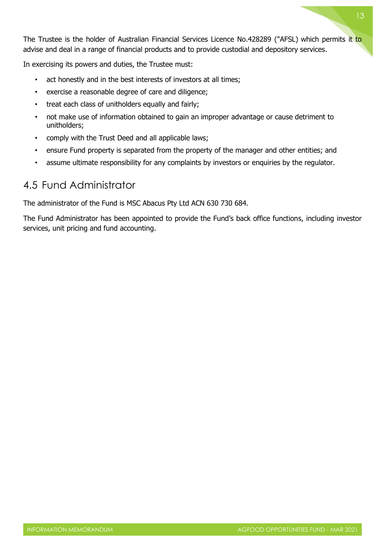The Trustee is the holder of Australian Financial Services Licence No.428289 ("AFSL) which permits it to advise and deal in a range of financial products and to provide custodial and depository services.

In exercising its powers and duties, the Trustee must:

- act honestly and in the best interests of investors at all times;
- exercise a reasonable degree of care and diligence;
- treat each class of unitholders equally and fairly;
- not make use of information obtained to gain an improper advantage or cause detriment to unitholders;
- comply with the Trust Deed and all applicable laws;
- ensure Fund property is separated from the property of the manager and other entities; and
- assume ultimate responsibility for any complaints by investors or enquiries by the regulator.

### <span id="page-13-0"></span>4.5 Fund Administrator

The administrator of the Fund is MSC Abacus Pty Ltd ACN 630 730 684.

The Fund Administrator has been appointed to provide the Fund's back office functions, including investor services, unit pricing and fund accounting.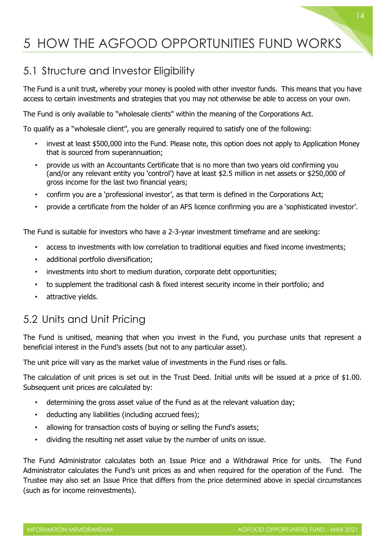### <span id="page-14-0"></span>5 HOW THE AGFOOD OPPORTUNITIES FUND WORKS

### <span id="page-14-1"></span>5.1 Structure and Investor Eligibility

The Fund is a unit trust, whereby your money is pooled with other investor funds. This means that you have access to certain investments and strategies that you may not otherwise be able to access on your own.

The Fund is only available to "wholesale clients" within the meaning of the Corporations Act.

To qualify as a "wholesale client", you are generally required to satisfy one of the following:

- invest at least \$500,000 into the Fund. Please note, this option does not apply to Application Money that is sourced from superannuation;
- provide us with an Accountants Certificate that is no more than two years old confirming you (and/or any relevant entity you 'control') have at least \$2.5 million in net assets or \$250,000 of gross income for the last two financial years;
- confirm you are a 'professional investor', as that term is defined in the Corporations Act;
- provide a certificate from the holder of an AFS licence confirming you are a 'sophisticated investor'.

The Fund is suitable for investors who have a 2-3-year investment timeframe and are seeking:

- access to investments with low correlation to traditional equities and fixed income investments;
- additional portfolio diversification;
- investments into short to medium duration, corporate debt opportunities;
- to supplement the traditional cash & fixed interest security income in their portfolio; and
- attractive yields.

### <span id="page-14-2"></span>5.2 Units and Unit Pricing

The Fund is unitised, meaning that when you invest in the Fund, you purchase units that represent a beneficial interest in the Fund's assets (but not to any particular asset).

The unit price will vary as the market value of investments in the Fund rises or falls.

The calculation of unit prices is set out in the Trust Deed. Initial units will be issued at a price of \$1.00. Subsequent unit prices are calculated by:

- determining the gross asset value of the Fund as at the relevant valuation day;
- deducting any liabilities (including accrued fees);
- allowing for transaction costs of buying or selling the Fund's assets;
- dividing the resulting net asset value by the number of units on issue.

The Fund Administrator calculates both an Issue Price and a Withdrawal Price for units. The Fund Administrator calculates the Fund's unit prices as and when required for the operation of the Fund. The Trustee may also set an Issue Price that differs from the price determined above in special circumstances (such as for income reinvestments).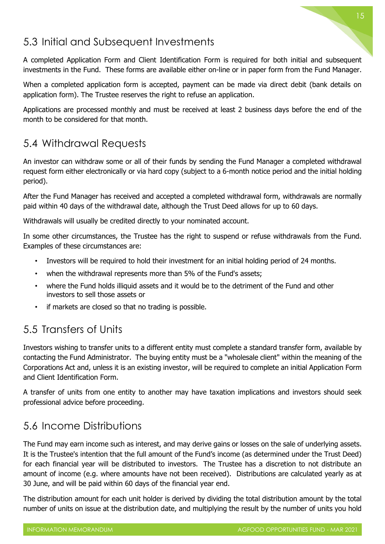### <span id="page-15-0"></span>5.3 Initial and Subsequent Investments

A completed Application Form and Client Identification Form is required for both initial and subsequent investments in the Fund. These forms are available either on-line or in paper form from the Fund Manager.

When a completed application form is accepted, payment can be made via direct debit (bank details on application form). The Trustee reserves the right to refuse an application.

Applications are processed monthly and must be received at least 2 business days before the end of the month to be considered for that month.

### <span id="page-15-1"></span>5.4 Withdrawal Requests

An investor can withdraw some or all of their funds by sending the Fund Manager a completed withdrawal request form either electronically or via hard copy (subject to a 6-month notice period and the initial holding period).

After the Fund Manager has received and accepted a completed withdrawal form, withdrawals are normally paid within 40 days of the withdrawal date, although the Trust Deed allows for up to 60 days.

Withdrawals will usually be credited directly to your nominated account.

In some other circumstances, the Trustee has the right to suspend or refuse withdrawals from the Fund. Examples of these circumstances are:

- Investors will be required to hold their investment for an initial holding period of 24 months.
- when the withdrawal represents more than 5% of the Fund's assets;
- where the Fund holds illiquid assets and it would be to the detriment of the Fund and other investors to sell those assets or
- if markets are closed so that no trading is possible.

### <span id="page-15-2"></span>5.5 Transfers of Units

Investors wishing to transfer units to a different entity must complete a standard transfer form, available by contacting the Fund Administrator. The buying entity must be a "wholesale client" within the meaning of the Corporations Act and, unless it is an existing investor, will be required to complete an initial Application Form and Client Identification Form.

A transfer of units from one entity to another may have taxation implications and investors should seek professional advice before proceeding.

### <span id="page-15-3"></span>5.6 Income Distributions

The Fund may earn income such as interest, and may derive gains or losses on the sale of underlying assets. It is the Trustee's intention that the full amount of the Fund's income (as determined under the Trust Deed) for each financial year will be distributed to investors. The Trustee has a discretion to not distribute an amount of income (e.g. where amounts have not been received). Distributions are calculated yearly as at 30 June, and will be paid within 60 days of the financial year end.

The distribution amount for each unit holder is derived by dividing the total distribution amount by the total number of units on issue at the distribution date, and multiplying the result by the number of units you hold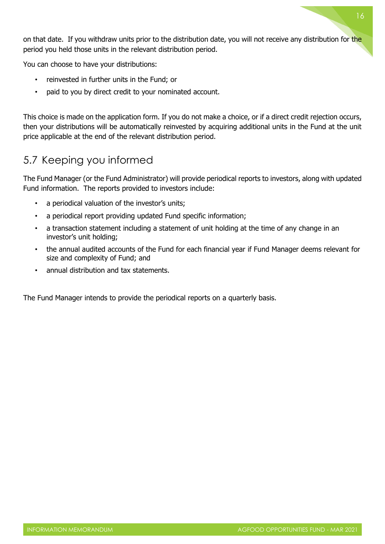on that date. If you withdraw units prior to the distribution date, you will not receive any distribution for the period you held those units in the relevant distribution period.

You can choose to have your distributions:

- reinvested in further units in the Fund; or
- paid to you by direct credit to your nominated account.

This choice is made on the application form. If you do not make a choice, or if a direct credit rejection occurs, then your distributions will be automatically reinvested by acquiring additional units in the Fund at the unit price applicable at the end of the relevant distribution period.

### <span id="page-16-0"></span>5.7 Keeping you informed

The Fund Manager (or the Fund Administrator) will provide periodical reports to investors, along with updated Fund information. The reports provided to investors include:

- a periodical valuation of the investor's units;
- a periodical report providing updated Fund specific information;
- a transaction statement including a statement of unit holding at the time of any change in an investor's unit holding;
- the annual audited accounts of the Fund for each financial year if Fund Manager deems relevant for size and complexity of Fund; and
- annual distribution and tax statements.

The Fund Manager intends to provide the periodical reports on a quarterly basis.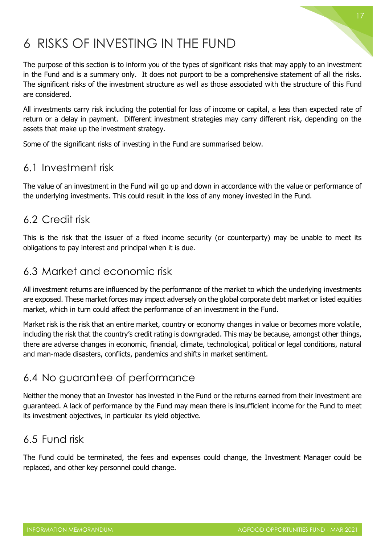### <span id="page-17-0"></span>6 RISKS OF INVESTING IN THE FUND

The purpose of this section is to inform you of the types of significant risks that may apply to an investment in the Fund and is a summary only. It does not purport to be a comprehensive statement of all the risks. The significant risks of the investment structure as well as those associated with the structure of this Fund are considered.

All investments carry risk including the potential for loss of income or capital, a less than expected rate of return or a delay in payment. Different investment strategies may carry different risk, depending on the assets that make up the investment strategy.

Some of the significant risks of investing in the Fund are summarised below.

### <span id="page-17-1"></span>6.1 Investment risk

The value of an investment in the Fund will go up and down in accordance with the value or performance of the underlying investments. This could result in the loss of any money invested in the Fund.

#### <span id="page-17-2"></span>6.2 Credit risk

This is the risk that the issuer of a fixed income security (or counterparty) may be unable to meet its obligations to pay interest and principal when it is due.

### <span id="page-17-3"></span>6.3 Market and economic risk

All investment returns are influenced by the performance of the market to which the underlying investments are exposed. These market forces may impact adversely on the global corporate debt market or listed equities market, which in turn could affect the performance of an investment in the Fund.

Market risk is the risk that an entire market, country or economy changes in value or becomes more volatile, including the risk that the country's credit rating is downgraded. This may be because, amongst other things, there are adverse changes in economic, financial, climate, technological, political or legal conditions, natural and man-made disasters, conflicts, pandemics and shifts in market sentiment.

### <span id="page-17-4"></span>6.4 No guarantee of performance

Neither the money that an Investor has invested in the Fund or the returns earned from their investment are guaranteed. A lack of performance by the Fund may mean there is insufficient income for the Fund to meet its investment objectives, in particular its yield objective.

### <span id="page-17-5"></span>6.5 Fund risk

The Fund could be terminated, the fees and expenses could change, the Investment Manager could be replaced, and other key personnel could change.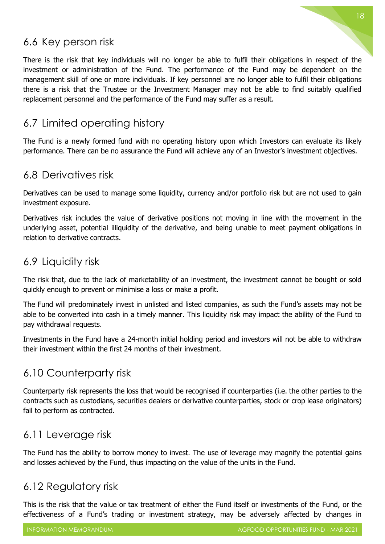### <span id="page-18-0"></span>6.6 Key person risk

There is the risk that key individuals will no longer be able to fulfil their obligations in respect of the investment or administration of the Fund. The performance of the Fund may be dependent on the management skill of one or more individuals. If key personnel are no longer able to fulfil their obligations there is a risk that the Trustee or the Investment Manager may not be able to find suitably qualified replacement personnel and the performance of the Fund may suffer as a result.

### <span id="page-18-1"></span>6.7 Limited operating history

The Fund is a newly formed fund with no operating history upon which Investors can evaluate its likely performance. There can be no assurance the Fund will achieve any of an Investor's investment objectives.

### <span id="page-18-2"></span>6.8 Derivatives risk

Derivatives can be used to manage some liquidity, currency and/or portfolio risk but are not used to gain investment exposure.

Derivatives risk includes the value of derivative positions not moving in line with the movement in the underlying asset, potential illiquidity of the derivative, and being unable to meet payment obligations in relation to derivative contracts.

### <span id="page-18-3"></span>6.9 Liquidity risk

The risk that, due to the lack of marketability of an investment, the investment cannot be bought or sold quickly enough to prevent or minimise a loss or make a profit.

The Fund will predominately invest in unlisted and listed companies, as such the Fund's assets may not be able to be converted into cash in a timely manner. This liquidity risk may impact the ability of the Fund to pay withdrawal requests.

Investments in the Fund have a 24-month initial holding period and investors will not be able to withdraw their investment within the first 24 months of their investment.

### <span id="page-18-4"></span>6.10 Counterparty risk

Counterparty risk represents the loss that would be recognised if counterparties (i.e. the other parties to the contracts such as custodians, securities dealers or derivative counterparties, stock or crop lease originators) fail to perform as contracted.

### <span id="page-18-5"></span>6.11 Leverage risk

The Fund has the ability to borrow money to invest. The use of leverage may magnify the potential gains and losses achieved by the Fund, thus impacting on the value of the units in the Fund.

### <span id="page-18-6"></span>6.12 Regulatory risk

This is the risk that the value or tax treatment of either the Fund itself or investments of the Fund, or the effectiveness of a Fund's trading or investment strategy, may be adversely affected by changes in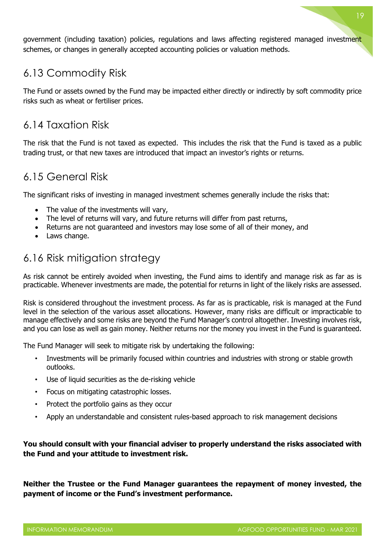government (including taxation) policies, regulations and laws affecting registered managed investment schemes, or changes in generally accepted accounting policies or valuation methods.

### <span id="page-19-0"></span>6.13 Commodity Risk

The Fund or assets owned by the Fund may be impacted either directly or indirectly by soft commodity price risks such as wheat or fertiliser prices.

### <span id="page-19-1"></span>6.14 Taxation Risk

The risk that the Fund is not taxed as expected. This includes the risk that the Fund is taxed as a public trading trust, or that new taxes are introduced that impact an investor's rights or returns.

### <span id="page-19-2"></span>6.15 General Risk

The significant risks of investing in managed investment schemes generally include the risks that:

- The value of the investments will vary,
- The level of returns will vary, and future returns will differ from past returns,
- Returns are not guaranteed and investors may lose some of all of their money, and
- Laws change.

### <span id="page-19-3"></span>6.16 Risk mitigation strategy

As risk cannot be entirely avoided when investing, the Fund aims to identify and manage risk as far as is practicable. Whenever investments are made, the potential for returns in light of the likely risks are assessed.

Risk is considered throughout the investment process. As far as is practicable, risk is managed at the Fund level in the selection of the various asset allocations. However, many risks are difficult or impracticable to manage effectively and some risks are beyond the Fund Manager's control altogether. Investing involves risk, and you can lose as well as gain money. Neither returns nor the money you invest in the Fund is guaranteed.

The Fund Manager will seek to mitigate risk by undertaking the following:

- Investments will be primarily focused within countries and industries with strong or stable growth outlooks.
- Use of liquid securities as the de-risking vehicle
- Focus on mitigating catastrophic losses.
- Protect the portfolio gains as they occur
- Apply an understandable and consistent rules-based approach to risk management decisions

**You should consult with your financial adviser to properly understand the risks associated with the Fund and your attitude to investment risk.**

**Neither the Trustee or the Fund Manager guarantees the repayment of money invested, the payment of income or the Fund's investment performance.**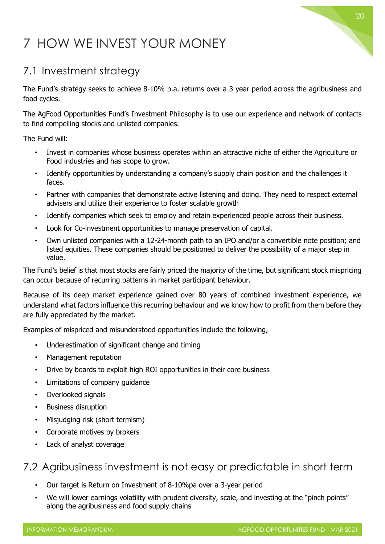### <span id="page-20-0"></span>7 HOW WE INVEST YOUR MONEY

### <span id="page-20-1"></span>7.1 Investment strategy

The Fund's strategy seeks to achieve 8-10% p.a. returns over a 3 year period across the agribusiness and food cycles.

The AgFood Opportunities Fund's Investment Philosophy is to use our experience and network of contacts to find compelling stocks and unlisted companies.

The Fund will:

- Invest in companies whose business operates within an attractive niche of either the Agriculture or Food industries and has scope to grow.
- Identify opportunities by understanding a company's supply chain position and the challenges it faces.
- Partner with companies that demonstrate active listening and doing. They need to respect external advisers and utilize their experience to foster scalable growth
- Identify companies which seek to employ and retain experienced people across their business.
- Look for Co-investment opportunities to manage preservation of capital.
- Own unlisted companies with a 12-24-month path to an IPO and/or a convertible note position; and listed equities. These companies should be positioned to deliver the possibility of a major step in value.

The Fund's belief is that most stocks are fairly priced the majority of the time, but significant stock mispricing can occur because of recurring patterns in market participant behaviour.

Because of its deep market experience gained over 80 years of combined investment experience, we understand what factors influence this recurring behaviour and we know how to profit from them before they are fully appreciated by the market.

Examples of mispriced and misunderstood opportunities include the following,

- Underestimation of significant change and timing
- Management reputation
- Drive by boards to exploit high ROI opportunities in their core business
- Limitations of company guidance
- Overlooked signals
- Business disruption
- Misjudging risk (short termism)
- Corporate motives by brokers
- Lack of analyst coverage

### <span id="page-20-2"></span>7.2 Agribusiness investment is not easy or predictable in short term

- Our target is Return on Investment of 8-10%pa over a 3-year period
- We will lower earnings volatility with prudent diversity, scale, and investing at the "pinch points" along the agribusiness and food supply chains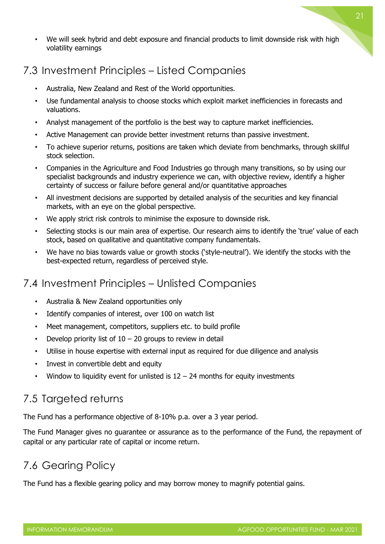• We will seek hybrid and debt exposure and financial products to limit downside risk with high volatility earnings

### <span id="page-21-0"></span>7.3 Investment Principles – Listed Companies

- Australia, New Zealand and Rest of the World opportunities.
- Use fundamental analysis to choose stocks which exploit market inefficiencies in forecasts and valuations.
- Analyst management of the portfolio is the best way to capture market inefficiencies.
- Active Management can provide better investment returns than passive investment.
- To achieve superior returns, positions are taken which deviate from benchmarks, through skillful stock selection.
- Companies in the Agriculture and Food Industries go through many transitions, so by using our specialist backgrounds and industry experience we can, with objective review, identify a higher certainty of success or failure before general and/or quantitative approaches
- All investment decisions are supported by detailed analysis of the securities and key financial markets, with an eye on the global perspective.
- We apply strict risk controls to minimise the exposure to downside risk.
- Selecting stocks is our main area of expertise. Our research aims to identify the 'true' value of each stock, based on qualitative and quantitative company fundamentals.
- We have no bias towards value or growth stocks ('style-neutral'). We identify the stocks with the best-expected return, regardless of perceived style.

### <span id="page-21-1"></span>7.4 Investment Principles – Unlisted Companies

- Australia & New Zealand opportunities only
- Identify companies of interest, over 100 on watch list
- Meet management, competitors, suppliers etc. to build profile
- Develop priority list of  $10 20$  groups to review in detail
- Utilise in house expertise with external input as required for due diligence and analysis
- Invest in convertible debt and equity
- Window to liquidity event for unlisted is  $12 24$  months for equity investments

### <span id="page-21-2"></span>7.5 Targeted returns

The Fund has a performance objective of 8-10% p.a. over a 3 year period.

The Fund Manager gives no guarantee or assurance as to the performance of the Fund, the repayment of capital or any particular rate of capital or income return.

### <span id="page-21-3"></span>7.6 Gearing Policy

The Fund has a flexible gearing policy and may borrow money to magnify potential gains.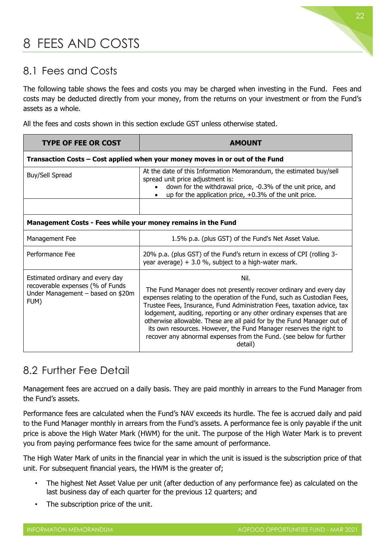### <span id="page-22-0"></span>8 FEES AND COSTS

### <span id="page-22-1"></span>8.1 Fees and Costs

The following table shows the fees and costs you may be charged when investing in the Fund. Fees and costs may be deducted directly from your money, from the returns on your investment or from the Fund's assets as a whole.

All the fees and costs shown in this section exclude GST unless otherwise stated.

| <b>TYPE OF FEE OR COST</b>                                                                                        | <b>AMOUNT</b>                                                                                                                                                                                                                                                                                                                                                                                                                                                                                                                                |  |
|-------------------------------------------------------------------------------------------------------------------|----------------------------------------------------------------------------------------------------------------------------------------------------------------------------------------------------------------------------------------------------------------------------------------------------------------------------------------------------------------------------------------------------------------------------------------------------------------------------------------------------------------------------------------------|--|
| Transaction Costs – Cost applied when your money moves in or out of the Fund                                      |                                                                                                                                                                                                                                                                                                                                                                                                                                                                                                                                              |  |
| Buy/Sell Spread                                                                                                   | At the date of this Information Memorandum, the estimated buy/sell<br>spread unit price adjustment is:<br>down for the withdrawal price, -0.3% of the unit price, and<br>up for the application price, $+0.3\%$ of the unit price.                                                                                                                                                                                                                                                                                                           |  |
|                                                                                                                   |                                                                                                                                                                                                                                                                                                                                                                                                                                                                                                                                              |  |
| Management Costs - Fees while your money remains in the Fund                                                      |                                                                                                                                                                                                                                                                                                                                                                                                                                                                                                                                              |  |
| Management Fee                                                                                                    | 1.5% p.a. (plus GST) of the Fund's Net Asset Value.                                                                                                                                                                                                                                                                                                                                                                                                                                                                                          |  |
| Performance Fee                                                                                                   | 20% p.a. (plus GST) of the Fund's return in excess of CPI (rolling 3-<br>year average) $+3.0$ %, subject to a high-water mark.                                                                                                                                                                                                                                                                                                                                                                                                               |  |
| Estimated ordinary and every day<br>recoverable expenses (% of Funds<br>Under Management - based on \$20m<br>FUM) | Nil.<br>The Fund Manager does not presently recover ordinary and every day<br>expenses relating to the operation of the Fund, such as Custodian Fees,<br>Trustee Fees, Insurance, Fund Administration Fees, taxation advice, tax<br>lodgement, auditing, reporting or any other ordinary expenses that are<br>otherwise allowable. These are all paid for by the Fund Manager out of<br>its own resources. However, the Fund Manager reserves the right to<br>recover any abnormal expenses from the Fund. (see below for further<br>detail) |  |

### <span id="page-22-2"></span>8.2 Further Fee Detail

Management fees are accrued on a daily basis. They are paid monthly in arrears to the Fund Manager from the Fund's assets.

Performance fees are calculated when the Fund's NAV exceeds its hurdle. The fee is accrued daily and paid to the Fund Manager monthly in arrears from the Fund's assets. A performance fee is only payable if the unit price is above the High Water Mark (HWM) for the unit. The purpose of the High Water Mark is to prevent you from paying performance fees twice for the same amount of performance.

The High Water Mark of units in the financial year in which the unit is issued is the subscription price of that unit. For subsequent financial years, the HWM is the greater of;

- The highest Net Asset Value per unit (after deduction of any performance fee) as calculated on the last business day of each quarter for the previous 12 quarters; and
- The subscription price of the unit.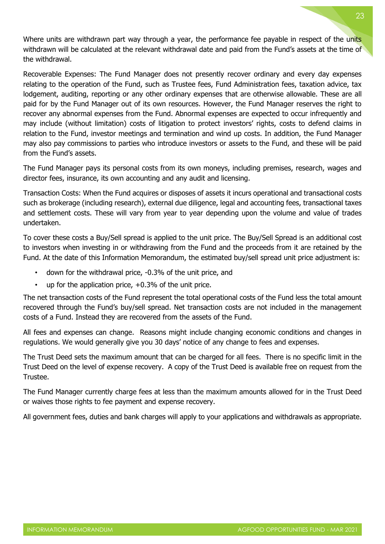Where units are withdrawn part way through a year, the performance fee payable in respect of the units withdrawn will be calculated at the relevant withdrawal date and paid from the Fund's assets at the time of the withdrawal.

Recoverable Expenses: The Fund Manager does not presently recover ordinary and every day expenses relating to the operation of the Fund, such as Trustee fees, Fund Administration fees, taxation advice, tax lodgement, auditing, reporting or any other ordinary expenses that are otherwise allowable. These are all paid for by the Fund Manager out of its own resources. However, the Fund Manager reserves the right to recover any abnormal expenses from the Fund. Abnormal expenses are expected to occur infrequently and may include (without limitation) costs of litigation to protect investors' rights, costs to defend claims in relation to the Fund, investor meetings and termination and wind up costs. In addition, the Fund Manager may also pay commissions to parties who introduce investors or assets to the Fund, and these will be paid from the Fund's assets.

The Fund Manager pays its personal costs from its own moneys, including premises, research, wages and director fees, insurance, its own accounting and any audit and licensing.

Transaction Costs: When the Fund acquires or disposes of assets it incurs operational and transactional costs such as brokerage (including research), external due diligence, legal and accounting fees, transactional taxes and settlement costs. These will vary from year to year depending upon the volume and value of trades undertaken.

To cover these costs a Buy/Sell spread is applied to the unit price. The Buy/Sell Spread is an additional cost to investors when investing in or withdrawing from the Fund and the proceeds from it are retained by the Fund. At the date of this Information Memorandum, the estimated buy/sell spread unit price adjustment is:

- down for the withdrawal price, -0.3% of the unit price, and
- up for the application price,  $+0.3\%$  of the unit price.

The net transaction costs of the Fund represent the total operational costs of the Fund less the total amount recovered through the Fund's buy/sell spread. Net transaction costs are not included in the management costs of a Fund. Instead they are recovered from the assets of the Fund.

All fees and expenses can change. Reasons might include changing economic conditions and changes in regulations. We would generally give you 30 days' notice of any change to fees and expenses.

The Trust Deed sets the maximum amount that can be charged for all fees. There is no specific limit in the Trust Deed on the level of expense recovery. A copy of the Trust Deed is available free on request from the Trustee.

The Fund Manager currently charge fees at less than the maximum amounts allowed for in the Trust Deed or waives those rights to fee payment and expense recovery.

All government fees, duties and bank charges will apply to your applications and withdrawals as appropriate.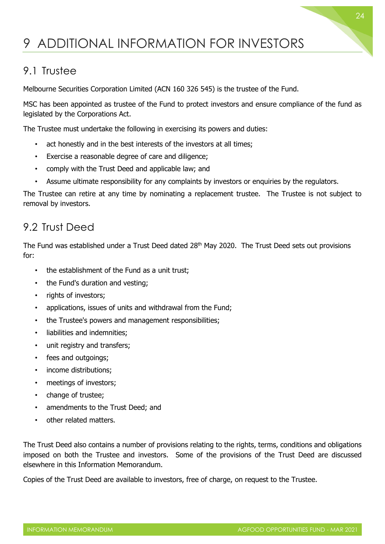### <span id="page-24-0"></span>9 ADDITIONAL INFORMATION FOR INVESTORS

### <span id="page-24-1"></span>9.1 Trustee

Melbourne Securities Corporation Limited (ACN 160 326 545) is the trustee of the Fund.

MSC has been appointed as trustee of the Fund to protect investors and ensure compliance of the fund as legislated by the Corporations Act.

The Trustee must undertake the following in exercising its powers and duties:

- act honestly and in the best interests of the investors at all times;
- Exercise a reasonable degree of care and diligence;
- comply with the Trust Deed and applicable law; and
- Assume ultimate responsibility for any complaints by investors or enquiries by the regulators.

The Trustee can retire at any time by nominating a replacement trustee. The Trustee is not subject to removal by investors.

### <span id="page-24-2"></span>9.2 Trust Deed

The Fund was established under a Trust Deed dated 28<sup>th</sup> May 2020. The Trust Deed sets out provisions for:

- the establishment of the Fund as a unit trust;
- the Fund's duration and vesting;
- rights of investors:
- applications, issues of units and withdrawal from the Fund;
- the Trustee's powers and management responsibilities;
- liabilities and indemnities;
- unit registry and transfers;
- fees and outgoings;
- income distributions;
- meetings of investors;
- change of trustee;
- amendments to the Trust Deed; and
- other related matters.

The Trust Deed also contains a number of provisions relating to the rights, terms, conditions and obligations imposed on both the Trustee and investors. Some of the provisions of the Trust Deed are discussed elsewhere in this Information Memorandum.

Copies of the Trust Deed are available to investors, free of charge, on request to the Trustee.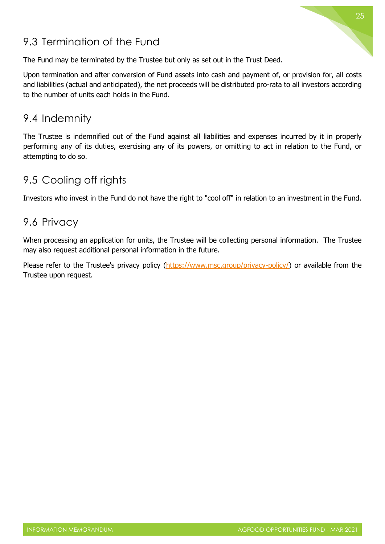# 25

### <span id="page-25-0"></span>9.3 Termination of the Fund

The Fund may be terminated by the Trustee but only as set out in the Trust Deed.

Upon termination and after conversion of Fund assets into cash and payment of, or provision for, all costs and liabilities (actual and anticipated), the net proceeds will be distributed pro-rata to all investors according to the number of units each holds in the Fund.

### <span id="page-25-1"></span>9.4 Indemnity

The Trustee is indemnified out of the Fund against all liabilities and expenses incurred by it in properly performing any of its duties, exercising any of its powers, or omitting to act in relation to the Fund, or attempting to do so.

### <span id="page-25-2"></span>9.5 Cooling off rights

Investors who invest in the Fund do not have the right to "cool off" in relation to an investment in the Fund.

### <span id="page-25-3"></span>9.6 Privacy

When processing an application for units, the Trustee will be collecting personal information. The Trustee may also request additional personal information in the future.

Please refer to the Trustee's privacy policy [\(https://www.msc.group/privacy-policy/\)](about:blank) or available from the Trustee upon request.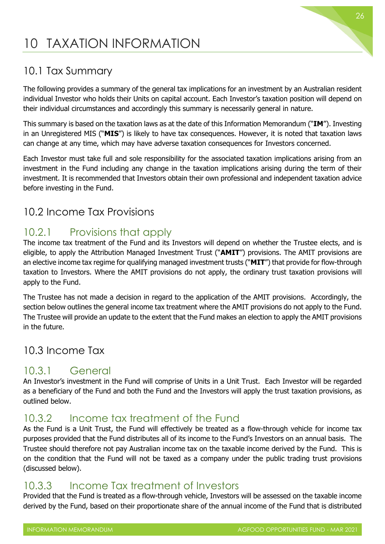### <span id="page-26-0"></span>10 TAXATION INFORMATION

### <span id="page-26-1"></span>10.1 Tax Summary

The following provides a summary of the general tax implications for an investment by an Australian resident individual Investor who holds their Units on capital account. Each Investor's taxation position will depend on their individual circumstances and accordingly this summary is necessarily general in nature.

This summary is based on the taxation laws as at the date of this Information Memorandum ("**IM**"). Investing in an Unregistered MIS ("**MIS**") is likely to have tax consequences. However, it is noted that taxation laws can change at any time, which may have adverse taxation consequences for Investors concerned.

Each Investor must take full and sole responsibility for the associated taxation implications arising from an investment in the Fund including any change in the taxation implications arising during the term of their investment. It is recommended that Investors obtain their own professional and independent taxation advice before investing in the Fund.

### <span id="page-26-2"></span>10.2 Income Tax Provisions

### <span id="page-26-3"></span>10.2.1 Provisions that apply

The income tax treatment of the Fund and its Investors will depend on whether the Trustee elects, and is eligible, to apply the Attribution Managed Investment Trust ("**AMIT**") provisions. The AMIT provisions are an elective income tax regime for qualifying managed investment trusts ("**MIT**") that provide for flow-through taxation to Investors. Where the AMIT provisions do not apply, the ordinary trust taxation provisions will apply to the Fund.

The Trustee has not made a decision in regard to the application of the AMIT provisions. Accordingly, the section below outlines the general income tax treatment where the AMIT provisions do not apply to the Fund. The Trustee will provide an update to the extent that the Fund makes an election to apply the AMIT provisions in the future.

### <span id="page-26-4"></span>10.3 Income Tax

### <span id="page-26-5"></span>10.3.1 General

An Investor's investment in the Fund will comprise of Units in a Unit Trust. Each Investor will be regarded as a beneficiary of the Fund and both the Fund and the Investors will apply the trust taxation provisions, as outlined below.

### <span id="page-26-6"></span>10.3.2 Income tax treatment of the Fund

As the Fund is a Unit Trust, the Fund will effectively be treated as a flow-through vehicle for income tax purposes provided that the Fund distributes all of its income to the Fund's Investors on an annual basis. The Trustee should therefore not pay Australian income tax on the taxable income derived by the Fund. This is on the condition that the Fund will not be taxed as a company under the public trading trust provisions (discussed below).

### <span id="page-26-7"></span>10.3.3 Income Tax treatment of Investors

Provided that the Fund is treated as a flow-through vehicle, Investors will be assessed on the taxable income derived by the Fund, based on their proportionate share of the annual income of the Fund that is distributed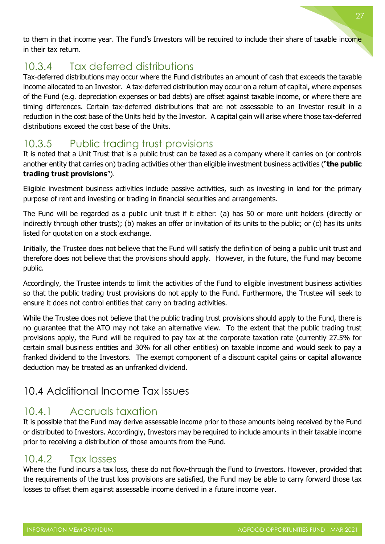to them in that income year. The Fund's Investors will be required to include their share of taxable income in their tax return.

### <span id="page-27-0"></span>10.3.4 Tax deferred distributions

Tax-deferred distributions may occur where the Fund distributes an amount of cash that exceeds the taxable income allocated to an Investor. A tax-deferred distribution may occur on a return of capital, where expenses of the Fund (e.g. depreciation expenses or bad debts) are offset against taxable income, or where there are timing differences. Certain tax-deferred distributions that are not assessable to an Investor result in a reduction in the cost base of the Units held by the Investor. A capital gain will arise where those tax-deferred distributions exceed the cost base of the Units.

### <span id="page-27-1"></span>10.3.5 Public trading trust provisions

It is noted that a Unit Trust that is a public trust can be taxed as a company where it carries on (or controls another entity that carries on) trading activities other than eligible investment business activities ("**the public trading trust provisions**").

Eligible investment business activities include passive activities, such as investing in land for the primary purpose of rent and investing or trading in financial securities and arrangements.

The Fund will be regarded as a public unit trust if it either: (a) has 50 or more unit holders (directly or indirectly through other trusts); (b) makes an offer or invitation of its units to the public; or (c) has its units listed for quotation on a stock exchange.

Initially, the Trustee does not believe that the Fund will satisfy the definition of being a public unit trust and therefore does not believe that the provisions should apply. However, in the future, the Fund may become public.

Accordingly, the Trustee intends to limit the activities of the Fund to eligible investment business activities so that the public trading trust provisions do not apply to the Fund. Furthermore, the Trustee will seek to ensure it does not control entities that carry on trading activities.

While the Trustee does not believe that the public trading trust provisions should apply to the Fund, there is no guarantee that the ATO may not take an alternative view. To the extent that the public trading trust provisions apply, the Fund will be required to pay tax at the corporate taxation rate (currently 27.5% for certain small business entities and 30% for all other entities) on taxable income and would seek to pay a franked dividend to the Investors. The exempt component of a discount capital gains or capital allowance deduction may be treated as an unfranked dividend.

### <span id="page-27-2"></span>10.4 Additional Income Tax Issues

### <span id="page-27-3"></span>10.4.1 Accruals taxation

It is possible that the Fund may derive assessable income prior to those amounts being received by the Fund or distributed to Investors. Accordingly, Investors may be required to include amounts in their taxable income prior to receiving a distribution of those amounts from the Fund.

### <span id="page-27-4"></span>10.4.2 Tax losses

Where the Fund incurs a tax loss, these do not flow-through the Fund to Investors. However, provided that the requirements of the trust loss provisions are satisfied, the Fund may be able to carry forward those tax losses to offset them against assessable income derived in a future income year.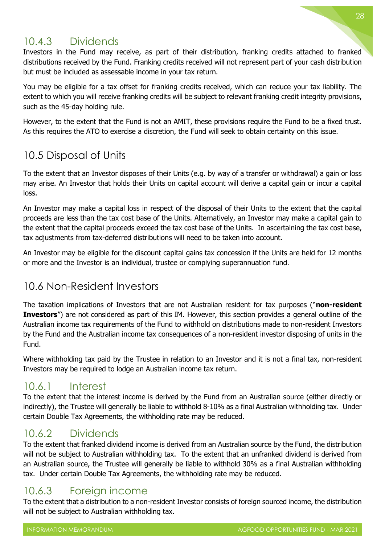### <span id="page-28-0"></span>10.4.3 Dividends

Investors in the Fund may receive, as part of their distribution, franking credits attached to franked distributions received by the Fund. Franking credits received will not represent part of your cash distribution but must be included as assessable income in your tax return.

You may be eligible for a tax offset for franking credits received, which can reduce your tax liability. The extent to which you will receive franking credits will be subject to relevant franking credit integrity provisions, such as the 45-day holding rule.

However, to the extent that the Fund is not an AMIT, these provisions require the Fund to be a fixed trust. As this requires the ATO to exercise a discretion, the Fund will seek to obtain certainty on this issue.

### <span id="page-28-1"></span>10.5 Disposal of Units

To the extent that an Investor disposes of their Units (e.g. by way of a transfer or withdrawal) a gain or loss may arise. An Investor that holds their Units on capital account will derive a capital gain or incur a capital loss.

An Investor may make a capital loss in respect of the disposal of their Units to the extent that the capital proceeds are less than the tax cost base of the Units. Alternatively, an Investor may make a capital gain to the extent that the capital proceeds exceed the tax cost base of the Units. In ascertaining the tax cost base, tax adjustments from tax-deferred distributions will need to be taken into account.

An Investor may be eligible for the discount capital gains tax concession if the Units are held for 12 months or more and the Investor is an individual, trustee or complying superannuation fund.

### <span id="page-28-2"></span>10.6 Non-Resident Investors

The taxation implications of Investors that are not Australian resident for tax purposes ("**non-resident Investors**") are not considered as part of this IM. However, this section provides a general outline of the Australian income tax requirements of the Fund to withhold on distributions made to non-resident Investors by the Fund and the Australian income tax consequences of a non-resident investor disposing of units in the Fund.

Where withholding tax paid by the Trustee in relation to an Investor and it is not a final tax, non-resident Investors may be required to lodge an Australian income tax return.

### <span id="page-28-3"></span>10.6.1 Interest

To the extent that the interest income is derived by the Fund from an Australian source (either directly or indirectly), the Trustee will generally be liable to withhold 8-10% as a final Australian withholding tax. Under certain Double Tax Agreements, the withholding rate may be reduced.

### <span id="page-28-4"></span>10.6.2 Dividends

To the extent that franked dividend income is derived from an Australian source by the Fund, the distribution will not be subject to Australian withholding tax. To the extent that an unfranked dividend is derived from an Australian source, the Trustee will generally be liable to withhold 30% as a final Australian withholding tax. Under certain Double Tax Agreements, the withholding rate may be reduced.

### <span id="page-28-5"></span>10.6.3 Foreign income

To the extent that a distribution to a non-resident Investor consists of foreign sourced income, the distribution will not be subject to Australian withholding tax.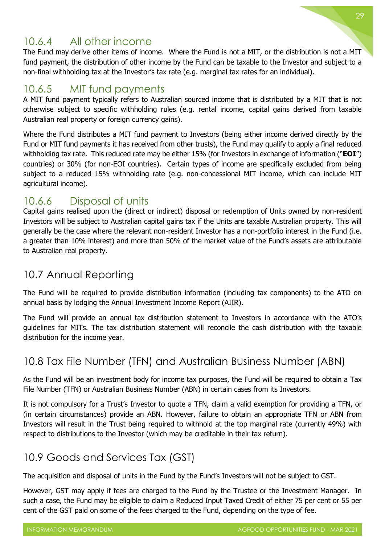### <span id="page-29-0"></span>10.6.4 All other income

The Fund may derive other items of income. Where the Fund is not a MIT, or the distribution is not a MIT fund payment, the distribution of other income by the Fund can be taxable to the Investor and subject to a non-final withholding tax at the Investor's tax rate (e.g. marginal tax rates for an individual).

### <span id="page-29-1"></span>10.6.5 MIT fund payments

A MIT fund payment typically refers to Australian sourced income that is distributed by a MIT that is not otherwise subject to specific withholding rules (e.g. rental income, capital gains derived from taxable Australian real property or foreign currency gains).

Where the Fund distributes a MIT fund payment to Investors (being either income derived directly by the Fund or MIT fund payments it has received from other trusts), the Fund may qualify to apply a final reduced withholding tax rate. This reduced rate may be either 15% (for Investors in exchange of information ("**EOI**") countries) or 30% (for non-EOI countries). Certain types of income are specifically excluded from being subject to a reduced 15% withholding rate (e.g. non-concessional MIT income, which can include MIT agricultural income).

### <span id="page-29-2"></span>10.6.6 Disposal of units

Capital gains realised upon the (direct or indirect) disposal or redemption of Units owned by non-resident Investors will be subject to Australian capital gains tax if the Units are taxable Australian property. This will generally be the case where the relevant non-resident Investor has a non-portfolio interest in the Fund (i.e. a greater than 10% interest) and more than 50% of the market value of the Fund's assets are attributable to Australian real property.

### <span id="page-29-3"></span>10.7 Annual Reporting

The Fund will be required to provide distribution information (including tax components) to the ATO on annual basis by lodging the Annual Investment Income Report (AIIR).

The Fund will provide an annual tax distribution statement to Investors in accordance with the ATO's guidelines for MITs. The tax distribution statement will reconcile the cash distribution with the taxable distribution for the income year.

### <span id="page-29-4"></span>10.8 Tax File Number (TFN) and Australian Business Number (ABN)

As the Fund will be an investment body for income tax purposes, the Fund will be required to obtain a Tax File Number (TFN) or Australian Business Number (ABN) in certain cases from its Investors.

It is not compulsory for a Trust's Investor to quote a TFN, claim a valid exemption for providing a TFN, or (in certain circumstances) provide an ABN. However, failure to obtain an appropriate TFN or ABN from Investors will result in the Trust being required to withhold at the top marginal rate (currently 49%) with respect to distributions to the Investor (which may be creditable in their tax return).

### <span id="page-29-5"></span>10.9 Goods and Services Tax (GST)

The acquisition and disposal of units in the Fund by the Fund's Investors will not be subject to GST.

However, GST may apply if fees are charged to the Fund by the Trustee or the Investment Manager. In such a case, the Fund may be eligible to claim a Reduced Input Taxed Credit of either 75 per cent or 55 per cent of the GST paid on some of the fees charged to the Fund, depending on the type of fee.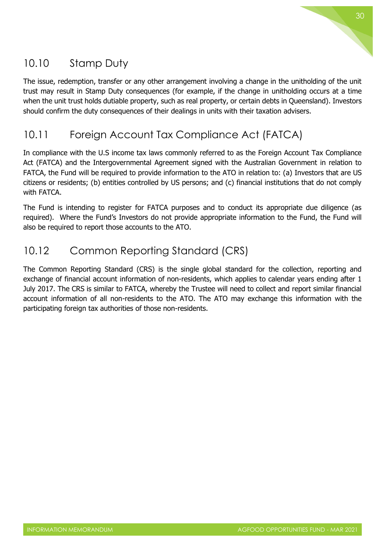

### <span id="page-30-0"></span>10.10 Stamp Duty

The issue, redemption, transfer or any other arrangement involving a change in the unitholding of the unit trust may result in Stamp Duty consequences (for example, if the change in unitholding occurs at a time when the unit trust holds dutiable property, such as real property, or certain debts in Queensland). Investors should confirm the duty consequences of their dealings in units with their taxation advisers.

### <span id="page-30-1"></span>10.11 Foreign Account Tax Compliance Act (FATCA)

In compliance with the U.S income tax laws commonly referred to as the Foreign Account Tax Compliance Act (FATCA) and the Intergovernmental Agreement signed with the Australian Government in relation to FATCA, the Fund will be required to provide information to the ATO in relation to: (a) Investors that are US citizens or residents; (b) entities controlled by US persons; and (c) financial institutions that do not comply with FATCA.

The Fund is intending to register for FATCA purposes and to conduct its appropriate due diligence (as required). Where the Fund's Investors do not provide appropriate information to the Fund, the Fund will also be required to report those accounts to the ATO.

### <span id="page-30-2"></span>10.12 Common Reporting Standard (CRS)

The Common Reporting Standard (CRS) is the single global standard for the collection, reporting and exchange of financial account information of non-residents, which applies to calendar years ending after 1 July 2017. The CRS is similar to FATCA, whereby the Trustee will need to collect and report similar financial account information of all non-residents to the ATO. The ATO may exchange this information with the participating foreign tax authorities of those non-residents.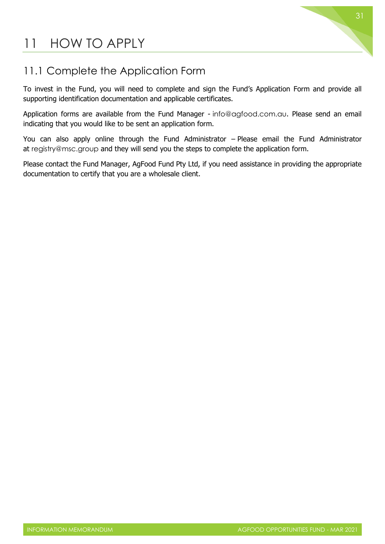### <span id="page-31-0"></span>11 HOW TO APPLY

### <span id="page-31-1"></span>11.1 Complete the Application Form

To invest in the Fund, you will need to complete and sign the Fund's Application Form and provide all supporting identification documentation and applicable certificates.

Application forms are available from the Fund Manager - [info@agfood.com.au](about:blank). Please send an email indicating that you would like to be sent an application form.

You can also apply online through the Fund Administrator – Please email the Fund Administrator at [registry@msc.group](about:blank) and they will send you the steps to complete the application form.

Please contact the Fund Manager, AgFood Fund Pty Ltd, if you need assistance in providing the appropriate documentation to certify that you are a wholesale client.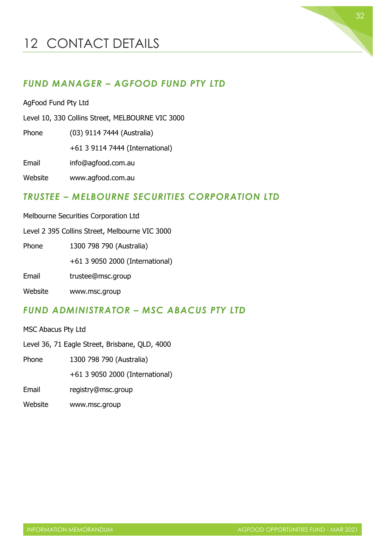### <span id="page-32-0"></span>12 CONTACT DETAILS

#### *FUND MANAGER – AGFOOD FUND PTY LTD*

AgFood Fund Pty Ltd

Level 10, 330 Collins Street, MELBOURNE VIC 3000

Phone (03) 9114 7444 (Australia)

+61 3 9114 7444 (International)

Email info@agfood.com.au

Website www.agfood.com.au

#### *TRUSTEE – MELBOURNE SECURITIES CORPORATION LTD*

Melbourne Securities Corporation Ltd

Level 2 395 Collins Street, Melbourne VIC 3000

Phone 1300 798 790 (Australia)

+61 3 9050 2000 (International)

Email trustee@msc.group

Website www.msc.group

#### *FUND ADMINISTRATOR – MSC ABACUS PTY LTD*

MSC Abacus Pty Ltd

Level 36, 71 Eagle Street, Brisbane, QLD, 4000

Phone 1300 798 790 (Australia)

+61 3 9050 2000 (International)

Email registry@msc.group

Website www.msc.group

32